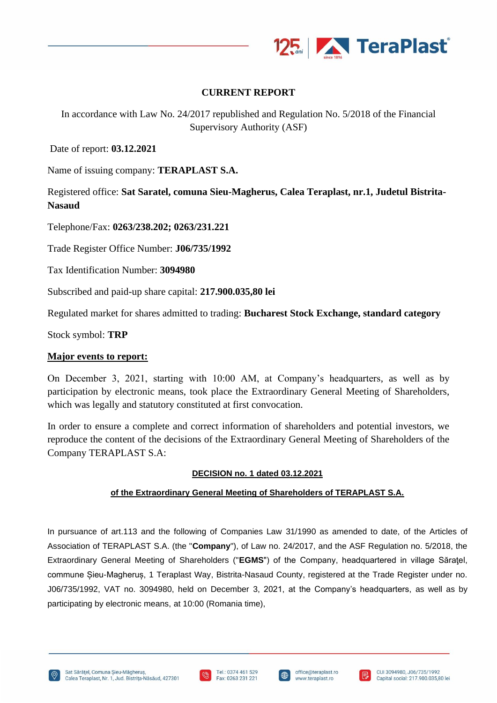

# **CURRENT REPORT**

In accordance with Law No. 24/2017 republished and Regulation No. 5/2018 of the Financial Supervisory Authority (ASF)

Date of report: **03.12.2021**

Name of issuing company: **TERAPLAST S.A.**

Registered office: **Sat Saratel, comuna Sieu-Magherus, Calea Teraplast, nr.1, Judetul Bistrita-Nasaud**

Telephone/Fax: **0263/238.202; 0263/231.221**

Trade Register Office Number: **J06/735/1992**

Tax Identification Number: **3094980**

Subscribed and paid-up share capital: **217.900.035,80 lei**

Regulated market for shares admitted to trading: **Bucharest Stock Exchange, standard category**

Stock symbol: **TRP**

## **Major events to report:**

On December 3, 2021, starting with 10:00 AM, at Company's headquarters, as well as by participation by electronic means, took place the Extraordinary General Meeting of Shareholders, which was legally and statutory constituted at first convocation.

In order to ensure a complete and correct information of shareholders and potential investors, we reproduce the content of the decisions of the Extraordinary General Meeting of Shareholders of the Company TERAPLAST S.A:

## **DECISION no. 1 dated 03.12.2021**

## **of the Extraordinary General Meeting of Shareholders of TERAPLAST S.A.**

In pursuance of art.113 and the following of Companies Law 31/1990 as amended to date, of the Articles of Association of TERAPLAST S.A. (the "**Company**"), of Law no. 24/2017, and the ASF Regulation no. 5/2018, the Extraordinary General Meeting of Shareholders ("**EGMS**") of the Company, headquartered in village Săraţel, commune Șieu-Magheruș, 1 Teraplast Way, Bistrita-Nasaud County, registered at the Trade Register under no. J06/735/1992, VAT no. 3094980, held on December 3, 2021, at the Company's headquarters, as well as by participating by electronic means, at 10:00 (Romania time),





I⊕

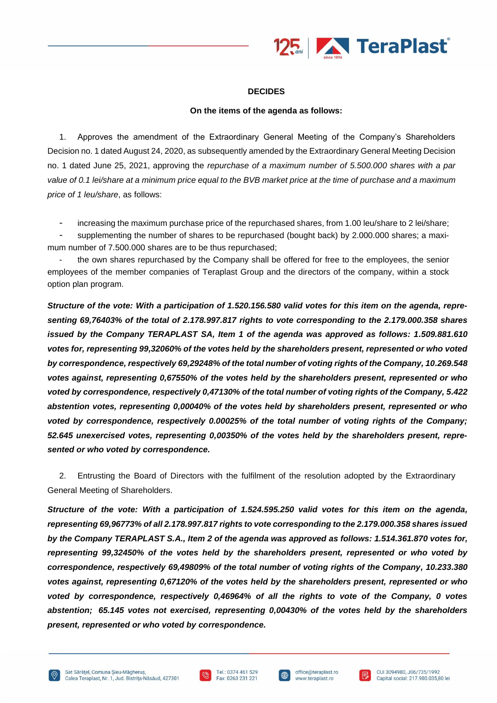

#### **DECIDES**

#### **On the items of the agenda as follows:**

1. Approves the amendment of the Extraordinary General Meeting of the Company's Shareholders Decision no. 1 dated August 24, 2020, as subsequently amended by the Extraordinary General Meeting Decision no. 1 dated June 25, 2021, approving the *repurchase of a maximum number of 5.500.000 shares with a par value of 0.1 lei/share at a minimum price equal to the BVB market price at the time of purchase and a maximum price of 1 leu/share*, as follows:

increasing the maximum purchase price of the repurchased shares, from 1.00 leu/share to 2 lei/share;

supplementing the number of shares to be repurchased (bought back) by 2.000.000 shares; a maximum number of 7.500.000 shares are to be thus repurchased;

the own shares repurchased by the Company shall be offered for free to the employees, the senior employees of the member companies of Teraplast Group and the directors of the company, within a stock option plan program.

*Structure of the vote: With a participation of 1.520.156.580 valid votes for this item on the agenda, representing 69,76403% of the total of 2.178.997.817 rights to vote corresponding to the 2.179.000.358 shares issued by the Company TERAPLAST SA, Item 1 of the agenda was approved as follows: 1.509.881.610 votes for, representing 99,32060% of the votes held by the shareholders present, represented or who voted by correspondence, respectively 69,29248% of the total number of voting rights of the Company, 10.269.548 votes against, representing 0,67550% of the votes held by the shareholders present, represented or who voted by correspondence, respectively 0,47130% of the total number of voting rights of the Company, 5.422 abstention votes, representing 0,00040% of the votes held by shareholders present, represented or who voted by correspondence, respectively 0.00025% of the total number of voting rights of the Company; 52.645 unexercised votes, representing 0,00350% of the votes held by the shareholders present, represented or who voted by correspondence.*

2. Entrusting the Board of Directors with the fulfilment of the resolution adopted by the Extraordinary General Meeting of Shareholders.

*Structure of the vote: With a participation of 1.524.595.250 valid votes for this item on the agenda, representing 69,96773% of all 2.178.997.817 rights to vote corresponding to the 2.179.000.358 shares issued by the Company TERAPLAST S.A., Item 2 of the agenda was approved as follows: 1.514.361.870 votes for, representing 99,32450% of the votes held by the shareholders present, represented or who voted by correspondence, respectively 69,49809% of the total number of voting rights of the Company, 10.233.380 votes against, representing 0,67120% of the votes held by the shareholders present, represented or who voted by correspondence, respectively 0,46964% of all the rights to vote of the Company, 0 votes abstention; 65.145 votes not exercised, representing 0,00430% of the votes held by the shareholders present, represented or who voted by correspondence.*